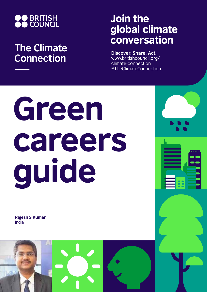

## **The Climate Connection**

## Join the global climate conversation

**Discover. Share. Act.** www.britishcouncil.org/ climate-connection #TheClimateConnection

# Green careers guide

**Rajesh S Kumar** India